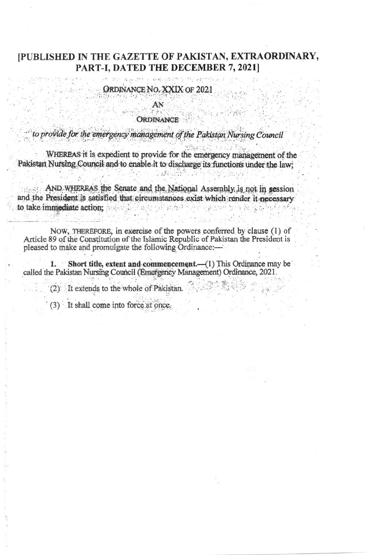## [PUBLISHED IN THE GAZETTE OF PAKISTAN, EXTRAORDINARY, PART-I, DATED THE DECEMBER 7, 2021]

# ORDINANCE NO. XXIX OF 2021

### AN アラビ ORDINANCE

to provide for the emergency management of the Pakistan Nursing Council

WHEREAS it is expedient to provide for the emergency management of the Pakistan Nursing Council and to enable it to discharge its functions under the law:

AND WHEREAS the Senate and the National Assembly is not in session and the President is satisfied that circumstances exist which render it necessary to take immediate action: and of the complete of the complete second to the final

NOW, THEREFORE, in exercise of the powers conferred by clause (1) of Article 89 of the Constitution of the Islamic Republic of Pakistan the President is pleased to make and promulgate the following Ordinance:-

Short title, extent and commencement.-(1) This Ordinance may be  $1.$ called the Pakistan Nursing Council (Emergency Management) Ordinance, 2021.

(2) It extends to the whole of Pakistan.

(3) It shall come into force at once.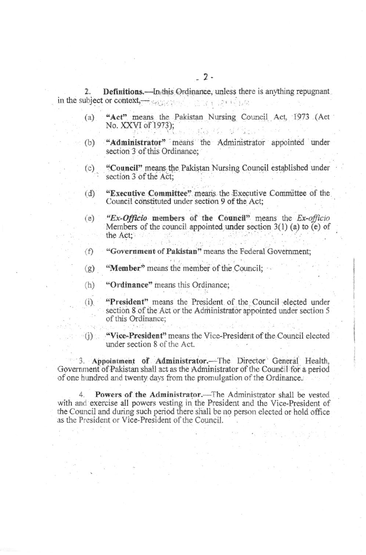Definitions.—In this Ordinance, unless there is anything repugnant  $\mathcal{L}$ in the subject or context, the expectation of the state is a state

- "Act" means the Pakistan Nursing Council Act, 1973 (Act  $(a)$ No. XXVI of 1973);  $35.8 \pm 0.02$   $M^{-1}$   $M_{\odot}$
- "Administrator" means the Administrator appointed under  $(b)$ section 3 of this Ordinance:
- $(c)$ "Council" means the Pakistan Nursing Council established under section 3 of the Act:
- "Executive Committee" means the Executive Committee of the  $(d)$ Council constituted under section 9 of the Act;
- $(e)$ "Ex-Officio members of the Council" means the Ex-officio Members of the council appointed under section  $3(1)$  (a) to (e) of the Act:
- "Government of Pakistan" means the Federal Government:  $(f)$
- "Member" means the member of the Council:  $\mathcal{L}(\mathfrak{D})$
- "Ordinance" means this Ordinance:  $(h)$
- "President" means the President of the Council elected under  $(i)$ section 8 of the Act or the Administrator appointed under section 5 of this Ordinance:
- "Vice-President" means the Vice-President of the Council elected  $(i)$ under section 8 of the Act.

3. Appointment of Administrator.—The Director General Health, Government of Pakistan shall act as the Administrator of the Council for a period of one hundred and twenty days from the promulgation of the Ordinance.

4. Powers of the Administrator.—The Administrator shall be vested with and exercise all powers vesting in the President and the Vice-President of the Council and during such period there shall be no person elected or hold office as the President or Vice-President of the Council.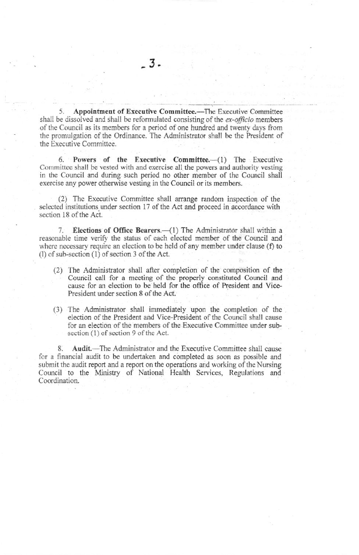Appointment of Executive Committee.—The Executive Committee shall be dissolved and shall be reformulated consisting of the ex-officio members of the Council as its members for a period of one hundred and twenty days from the promulgation of the Ordinance. The Administrator shall be the President of the Executive Committee.

6. Powers of the Executive Committee.-(1) The Executive Committee shall be vested with and exercise all the powers and authority vesting in the Council and during such period no other member of the Council shall exercise any power otherwise vesting in the Council or its members.

(2) The Executive Committee shall arrange random inspection of the selected institutions under section 17 of the Act and proceed in accordance with section 18 of the Act.

7. Elections of Office Bearers.- (1) The Administrator shall within a reasonable time verify the status of each elected member of the Council and where necessary require an election to be held of any member under clause (f) to  $(1)$  of sub-section  $(1)$  of section 3 of the Act.

- (2) The Administrator shall after completion of the composition of the Council call for a meeting of the properly constituted Council and cause for an election to be held for the office of President and Vice-President under section 8 of the Act.
- (3) The Administrator shall immediately upon the completion of the election of the President and Vice-President of the Council shall cause for an election of the members of the Executive Committee under subsection (1) of section 9 of the Act.

Audit.-The Administrator and the Executive Committee shall cause 8. for a financial audit to be undertaken and completed as soon as possible and submit the audit report and a report on the operations and working of the Nursing Council to the Ministry of National Health Services, Regulations and Coordination.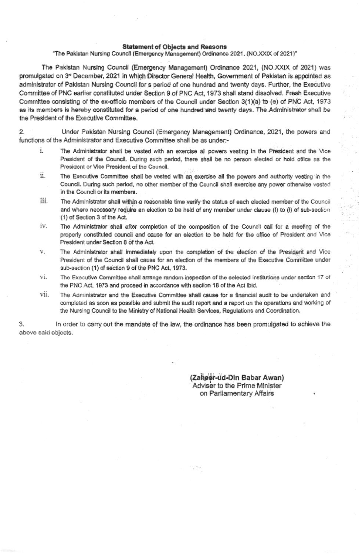#### **Statement of Objects and Reasons**

"The Pakistan Nursing Council (Emergency Management) Ordinance 2021, (NO.XXIX of 2021)"

The Pakistan Nursing Council (Emergency Management) Ordinance 2021, (NO.XXIX of 2021) was promulgated on 3<sup>d</sup> December, 2021 in which Director General Health, Government of Pakistan is appointed as administrator of Pakistan Nursing Council for s period of one hundred and twenty days. Further, the Executive Committee of PNC earlier constituted under Section 9 of PNC Act, 1973 shall stand dissolved. Fresh Executive Committee consisting of the ex-officio members of the Council under Section 3(1)(a) to (e) of PNC Act, 1973 as its members is hereby constituted for a period of one hundred and twenty days. The Administrator shall be the President of the Executive Committee

 $\overline{2}$ Under Pakistan Nursing Council (Emergency Management) Ordinance, 2021, the powers and functions of the Administrator and Executive Committee shall be as under:-

- i. The Administrator shall be vested with an exercise all powers vesting in the President and the Vice President of the Council. During such period, there shall be no person elected or hold office as the President or Vice President of the Council.
- ii. The Executive Committee shall be vested with an exercise all the powers and authority vesting in the Council. During such period, no other member of the Council shall exercise any nower otherwise vested in the Council or its members.
- iii. The Administrator shall within a reasonable time verify the status of each elected member of the Council and where necessary regulre an election to be held of any member under clause (f) to (f) of sub-section (1) of Section 3 of the Act.
- iv. The Administrator shall after completion of the composition of the Council call for a meeting of the properly constituted council and cause for an election to be held for the office of President and Vice President under Section 8 of the Act.
- v. The Administrator shall immediately upon the completion of the election of the President and Vice President of the Council shall cause for an election of the members of the Executive Committee under sub-section (1) of section 9 of the PNC Act, 1973.
- vi The Executive Committee shall arrange random inspection of the selected institutions under section 17 of the PNC Act, 1973 and proceed in accordance with section 18 of the Act ibid.
- vii. The Administrator and the Executive Committee shall cause for a financial audit to be undertaken and completed as soon as possible and submit the audit report and a report on the operations and working of the Nursing Council to the Ministry of National Health Services, Regulations and Coordination.

3. In order to carry out the mandate of the law, the ordinance has been promulgated to achieve the above said objects.

> (Zaheer-ud-Din Babar Awan) Adviser to the Prime Minister on Parliamentary Affairs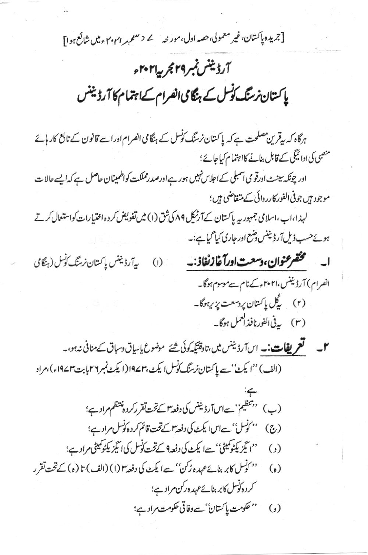[جریدہ پاکستان،غیر معمولی،حصہ ادل،مور نہ یہ کے حسم میر ام ۲۰۲۰ میں شائع ہوا]

# آرڈیننس نمبر ۲۹ مجر بیا۲۰۲ ء یا کستان نرسنگ کوسل کے ہنگامی انصرام کے اجتمام کا آرڈیننس

ہرگاہ کہ بیقرین مصلحت ہے کہ پاکستان نرسنگ کونسل کے ہنگامی انصرام اوراسے قانون کے تابع کار ہائے منصبی کی ادائیگی کے قابل بنانے کااہتمام کیاجائے؛ اور چونکہ بینٹ اورقو می اسمبلی کے اجلاس نہیں ہور ہے اورصدرمملکت کواظمینان حاصل ہے کہ ایسے حالا ت موجود ہیں جوفی الفور کارروائی کے متفاضی ہیں؛ لہذا،اب،اسلامی جمہوریہ پاکستان کےآرٹیکل ۸۹ کی شق (۱) میں تفویض کردہ اختیارات کواستعال کرتے ہوئے حسب ذیل آرڈینس وضع اور جاری کیا گیاہے:۔ ا- مخضرعنوان، دسعت اورآغازنغاذ:-ىيە ٔرۇينىس پاكىتان نرىتگ كۆسل (بىگا مى  $(1)$ انصرام) آرڈیننس،۲۰۲۱ءکےنام سےموسوم ہوگا۔ (۲) گیل پاکستان پروسعت *پزی*ہوگا۔ (۳) بي<sup>قى الفورنافذ العمل ہوگا۔</sup> **۲۔ گھریفات:۔** اس آرڈیننس میں،تاوقتیکہ کوئی شئے موضوع یاسیات وسباق کے منافی نہ ہو،۔ (الف) ''ایکٹ' سے پاکستان نرسنگ کونسل ایکٹ، ۱۹۷۴(ایکٹ نمبر۲۹ بابت۳ ۱۹۷۴ء)، مراد (ب) ''تنظیم''سےاسآرڈیننس کی دفعہ اکے تحت تقرر کردہ<sup>فتظ</sup>م مراد ہے؛ '' کونس'' سےاسا یکٹ کی دفعہ *تا کے تحت قائم کر*دہ کونسل مراد ہے؛  $(2)$ ''ا بگزیکٹوکمیٹی'' سےا یکٹ کی دفعہ9 کےتحت کونس کی ایگزیکٹوکمیٹی مرادے؛  $\left( \right)$ '' کونسل کابر بنائےعہدہ زکن'' سے ایکٹ کی دفعہ (۱) (الف) تا (ہ) کے تحت تقرر  $\left($ <sub>0</sub> $\right)$ کردہ کوسل کا بر بنائے عہدہ رکن مرادے؛ ''حكومت پاكستان''سےوفاقی حكومت مراد ہے؛  $\left( \cdot \right)$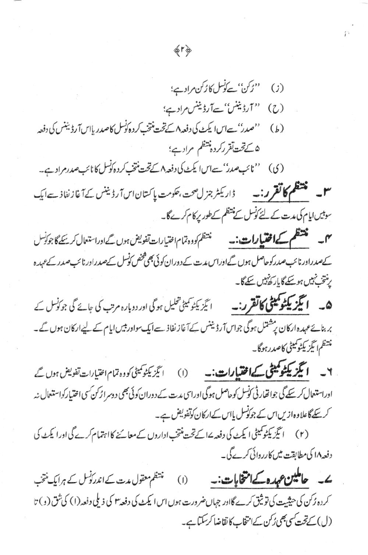- "زكن" سے كوسل كا زكن مراد ہے؛  $(i)$ (ح) "ارڈینین' سےآرڈینس مرادے؛
- (ط) 'صدر' سے اس ایکٹ کی دفعہ ا*کے پخت منتخب کر*دہ کوسل کاصدریا اس آرڈیننس کی دفعہ ۵کے تحت تقرر کردہ پنتظم مراد ہے؛
- (ی) ''نائب صدر''سےاس ایکٹ کی دفعہ ۸ کے تحت منتخب کردہ کونس کا نائب صدرم ادے۔ **٣۔ تفتیح کا تقرر:۔** ڈاریکٹر جزل صحت،حکومت پاکستاناسآرڈینٹس کےآغازنفاذ ہےایک سوہیں ایام کی مدت کے لئے کوسل کے منتظم کے طور پر کام کرےگا۔
- **مهم مستشخص کےافقیارات:۔** مستظم کودہ تمام اختیارات تفویض ہوں گےاوراستعمال کرسکے گا جوکونسل کےصدراورنائب صدرکوحاصل ہوں گےاوراس مدت کے دوران کوئی بھی فخص کوسل کےصدراورنائب صدر کےعہدہ یرمنتخ نہیں ہوسکے گایار کھنیں سکے گا۔
- ھ۔ اگریکٹو کیٹی کاتقرر:۔ ایگزیکٹو کیٹی تحلیل ہوگی اور دوبارہ مرتب کی جائے گی جو کوسل کے بر بنائے عہدہ ارکان پر شتمل ہوگی جواس آرڈیننس کے آغاز نفاذ سےایک سواور بیں ایام کے لیے ارکان ہوں گے۔ متظم اليكز يكثونييني كاصدر ہوگا۔
- ٧\_ اليكمز يكثو يبقى كالخليارات: (١) ايكزيكنو يمينى كوده تمام اختيارات تفويض بون ك اوراستعال کر سکے گی جواتھارٹی کونسل کوحاصل ہوگی اوراسی مدت کے دوران کوئی بھی دوسرا زکن کسی اختیارکواستعمال نہ کر سکے گاعلاوہ ازیں اس کے جوکونسل پااس کےارکان کوتفویض ہے۔
- (۲) انگیز یکٹوکمیٹی ایکٹ کی دفعہ <sup>2</sup>ا کے تحت منتخب اداروں کے معائنے کا اہتمام کرے گی اور ایکٹ کی دفعہ ۱۸ کی مطابقت میں کارروائی کرے گی۔

ک حافلین عہدہ کے انتخابات:۔ (۱) پینٹم مقول مت کے اندرکوسل کے ہرایک نتخب کردہ زکن کی حیثیت کی توثیق کرے گااور جہاں ضرورت ہوں اس ایکٹ کی دفعہ ۳ کی ذیلی دفعہ (۱) کی شق ( و ) تا (ل) کے تحت کسی بھی رُکن کے انتخاب کا نقاضا کرسکتاہے۔